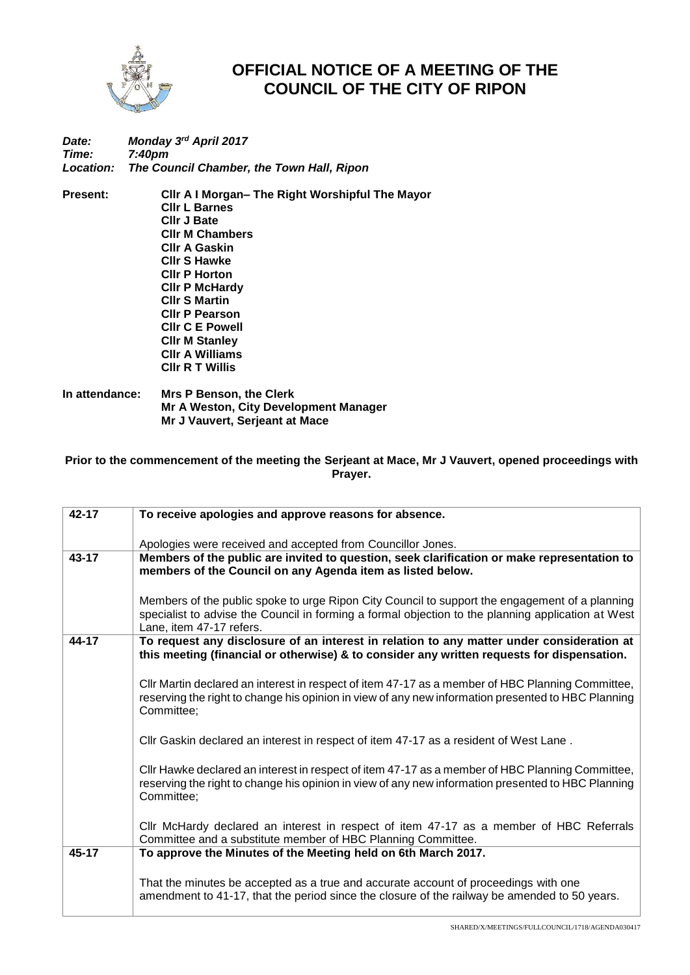

## **OFFICIAL NOTICE OF A MEETING OF THE COUNCIL OF THE CITY OF RIPON**

## *Date: Monday 3 rd April 2017 Time: 7:40pm Location: The Council Chamber, the Town Hall, Ripon*

**Present: Cllr A I Morgan– The Right Worshipful The Mayor Cllr L Barnes Cllr J Bate Cllr M Chambers Cllr A Gaskin Cllr S Hawke Cllr P Horton Cllr P McHardy Cllr S Martin Cllr P Pearson Cllr C E Powell Cllr M Stanley Cllr A Williams Cllr R T Willis**

**In attendance: Mrs P Benson, the Clerk Mr A Weston, City Development Manager Mr J Vauvert, Serjeant at Mace**

**Prior to the commencement of the meeting the Serjeant at Mace, Mr J Vauvert, opened proceedings with Prayer.** 

| 42-17     |                                                                                                    |  |  |
|-----------|----------------------------------------------------------------------------------------------------|--|--|
|           | To receive apologies and approve reasons for absence.                                              |  |  |
|           |                                                                                                    |  |  |
|           | Apologies were received and accepted from Councillor Jones.                                        |  |  |
| $43 - 17$ | Members of the public are invited to question, seek clarification or make representation to        |  |  |
|           | members of the Council on any Agenda item as listed below.                                         |  |  |
|           |                                                                                                    |  |  |
|           | Members of the public spoke to urge Ripon City Council to support the engagement of a planning     |  |  |
|           | specialist to advise the Council in forming a formal objection to the planning application at West |  |  |
|           |                                                                                                    |  |  |
|           | Lane, item 47-17 refers.                                                                           |  |  |
| 44-17     | To request any disclosure of an interest in relation to any matter under consideration at          |  |  |
|           | this meeting (financial or otherwise) & to consider any written requests for dispensation.         |  |  |
|           |                                                                                                    |  |  |
|           | Cllr Martin declared an interest in respect of item 47-17 as a member of HBC Planning Committee,   |  |  |
|           | reserving the right to change his opinion in view of any new information presented to HBC Planning |  |  |
|           | Committee;                                                                                         |  |  |
|           |                                                                                                    |  |  |
|           | CIIr Gaskin declared an interest in respect of item 47-17 as a resident of West Lane.              |  |  |
|           |                                                                                                    |  |  |
|           |                                                                                                    |  |  |
|           | CIIr Hawke declared an interest in respect of item 47-17 as a member of HBC Planning Committee,    |  |  |
|           | reserving the right to change his opinion in view of any new information presented to HBC Planning |  |  |
|           | Committee:                                                                                         |  |  |
|           |                                                                                                    |  |  |
|           | CIIr McHardy declared an interest in respect of item 47-17 as a member of HBC Referrals            |  |  |
|           | Committee and a substitute member of HBC Planning Committee.                                       |  |  |
| $45 - 17$ | To approve the Minutes of the Meeting held on 6th March 2017.                                      |  |  |
|           |                                                                                                    |  |  |
|           |                                                                                                    |  |  |
|           | That the minutes be accepted as a true and accurate account of proceedings with one                |  |  |
|           | amendment to 41-17, that the period since the closure of the railway be amended to 50 years.       |  |  |
|           |                                                                                                    |  |  |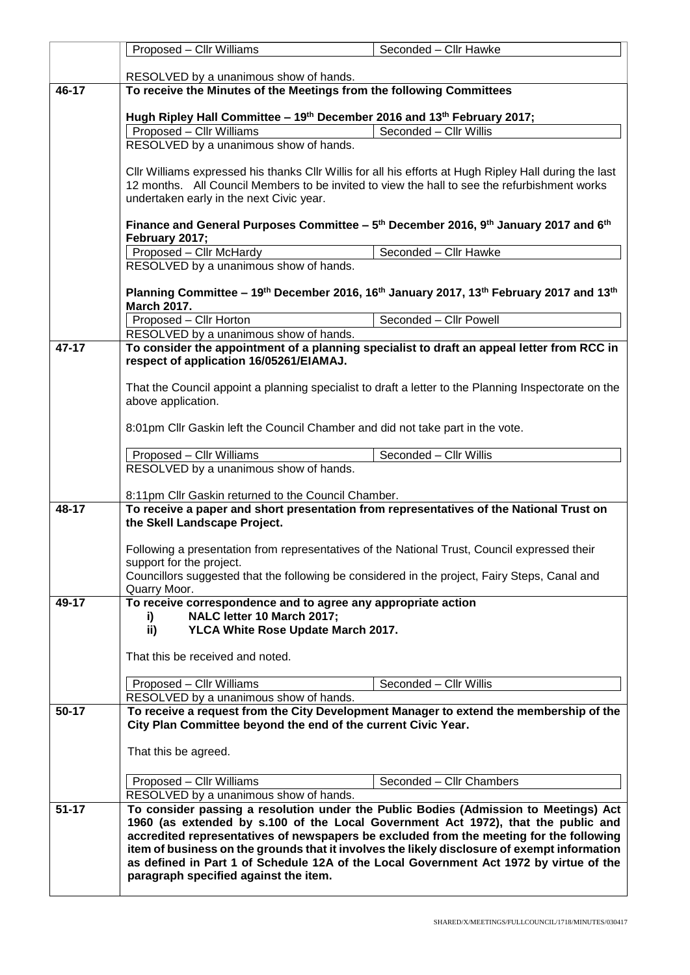|           | Proposed - Cllr Williams                                                                                                                                                                                                                                                                                                                                                                                                                                                                                | Seconded - Cllr Hawke    |  |  |  |
|-----------|---------------------------------------------------------------------------------------------------------------------------------------------------------------------------------------------------------------------------------------------------------------------------------------------------------------------------------------------------------------------------------------------------------------------------------------------------------------------------------------------------------|--------------------------|--|--|--|
|           | RESOLVED by a unanimous show of hands.                                                                                                                                                                                                                                                                                                                                                                                                                                                                  |                          |  |  |  |
| 46-17     | To receive the Minutes of the Meetings from the following Committees                                                                                                                                                                                                                                                                                                                                                                                                                                    |                          |  |  |  |
|           | Hugh Ripley Hall Committee - 19 <sup>th</sup> December 2016 and 13 <sup>th</sup> February 2017;                                                                                                                                                                                                                                                                                                                                                                                                         |                          |  |  |  |
|           | Proposed - Cllr Williams                                                                                                                                                                                                                                                                                                                                                                                                                                                                                | Seconded - Cllr Willis   |  |  |  |
|           | RESOLVED by a unanimous show of hands.                                                                                                                                                                                                                                                                                                                                                                                                                                                                  |                          |  |  |  |
|           | CIIr Williams expressed his thanks CIIr Willis for all his efforts at Hugh Ripley Hall during the last                                                                                                                                                                                                                                                                                                                                                                                                  |                          |  |  |  |
|           | 12 months. All Council Members to be invited to view the hall to see the refurbishment works                                                                                                                                                                                                                                                                                                                                                                                                            |                          |  |  |  |
|           | undertaken early in the next Civic year.                                                                                                                                                                                                                                                                                                                                                                                                                                                                |                          |  |  |  |
|           | Finance and General Purposes Committee - 5 <sup>th</sup> December 2016, 9 <sup>th</sup> January 2017 and 6 <sup>th</sup><br>February 2017;                                                                                                                                                                                                                                                                                                                                                              |                          |  |  |  |
|           | Proposed - Cllr McHardy                                                                                                                                                                                                                                                                                                                                                                                                                                                                                 | Seconded - Cllr Hawke    |  |  |  |
|           | RESOLVED by a unanimous show of hands.                                                                                                                                                                                                                                                                                                                                                                                                                                                                  |                          |  |  |  |
|           | Planning Committee - 19 <sup>th</sup> December 2016, 16 <sup>th</sup> January 2017, 13 <sup>th</sup> February 2017 and 13 <sup>th</sup><br><b>March 2017.</b>                                                                                                                                                                                                                                                                                                                                           |                          |  |  |  |
|           | Proposed - Cllr Horton                                                                                                                                                                                                                                                                                                                                                                                                                                                                                  | Seconded - Cllr Powell   |  |  |  |
|           | RESOLVED by a unanimous show of hands.                                                                                                                                                                                                                                                                                                                                                                                                                                                                  |                          |  |  |  |
| 47-17     | To consider the appointment of a planning specialist to draft an appeal letter from RCC in<br>respect of application 16/05261/EIAMAJ.<br>That the Council appoint a planning specialist to draft a letter to the Planning Inspectorate on the<br>above application.                                                                                                                                                                                                                                     |                          |  |  |  |
|           |                                                                                                                                                                                                                                                                                                                                                                                                                                                                                                         |                          |  |  |  |
|           | 8:01pm Cllr Gaskin left the Council Chamber and did not take part in the vote.                                                                                                                                                                                                                                                                                                                                                                                                                          |                          |  |  |  |
|           | Proposed - Cllr Williams                                                                                                                                                                                                                                                                                                                                                                                                                                                                                | Seconded - Cllr Willis   |  |  |  |
|           | RESOLVED by a unanimous show of hands.                                                                                                                                                                                                                                                                                                                                                                                                                                                                  |                          |  |  |  |
|           | 8:11pm Cllr Gaskin returned to the Council Chamber.                                                                                                                                                                                                                                                                                                                                                                                                                                                     |                          |  |  |  |
| 48-17     | To receive a paper and short presentation from representatives of the National Trust on<br>the Skell Landscape Project.                                                                                                                                                                                                                                                                                                                                                                                 |                          |  |  |  |
|           | Following a presentation from representatives of the National Trust, Council expressed their                                                                                                                                                                                                                                                                                                                                                                                                            |                          |  |  |  |
|           | support for the project.                                                                                                                                                                                                                                                                                                                                                                                                                                                                                |                          |  |  |  |
|           | Councillors suggested that the following be considered in the project, Fairy Steps, Canal and<br>Quarry Moor.                                                                                                                                                                                                                                                                                                                                                                                           |                          |  |  |  |
| 49-17     | To receive correspondence and to agree any appropriate action                                                                                                                                                                                                                                                                                                                                                                                                                                           |                          |  |  |  |
|           | NALC letter 10 March 2017;<br>i)                                                                                                                                                                                                                                                                                                                                                                                                                                                                        |                          |  |  |  |
|           | YLCA White Rose Update March 2017.<br>ii)                                                                                                                                                                                                                                                                                                                                                                                                                                                               |                          |  |  |  |
|           | That this be received and noted.                                                                                                                                                                                                                                                                                                                                                                                                                                                                        |                          |  |  |  |
|           |                                                                                                                                                                                                                                                                                                                                                                                                                                                                                                         |                          |  |  |  |
|           | Proposed - Cllr Williams<br>RESOLVED by a unanimous show of hands.                                                                                                                                                                                                                                                                                                                                                                                                                                      | Seconded - Cllr Willis   |  |  |  |
| $50 - 17$ | To receive a request from the City Development Manager to extend the membership of the<br>City Plan Committee beyond the end of the current Civic Year.                                                                                                                                                                                                                                                                                                                                                 |                          |  |  |  |
|           | That this be agreed.                                                                                                                                                                                                                                                                                                                                                                                                                                                                                    |                          |  |  |  |
|           | Proposed - Cllr Williams                                                                                                                                                                                                                                                                                                                                                                                                                                                                                | Seconded - Cllr Chambers |  |  |  |
|           | RESOLVED by a unanimous show of hands.                                                                                                                                                                                                                                                                                                                                                                                                                                                                  |                          |  |  |  |
| $51 - 17$ | To consider passing a resolution under the Public Bodies (Admission to Meetings) Act<br>1960 (as extended by s.100 of the Local Government Act 1972), that the public and<br>accredited representatives of newspapers be excluded from the meeting for the following<br>item of business on the grounds that it involves the likely disclosure of exempt information<br>as defined in Part 1 of Schedule 12A of the Local Government Act 1972 by virtue of the<br>paragraph specified against the item. |                          |  |  |  |
|           |                                                                                                                                                                                                                                                                                                                                                                                                                                                                                                         |                          |  |  |  |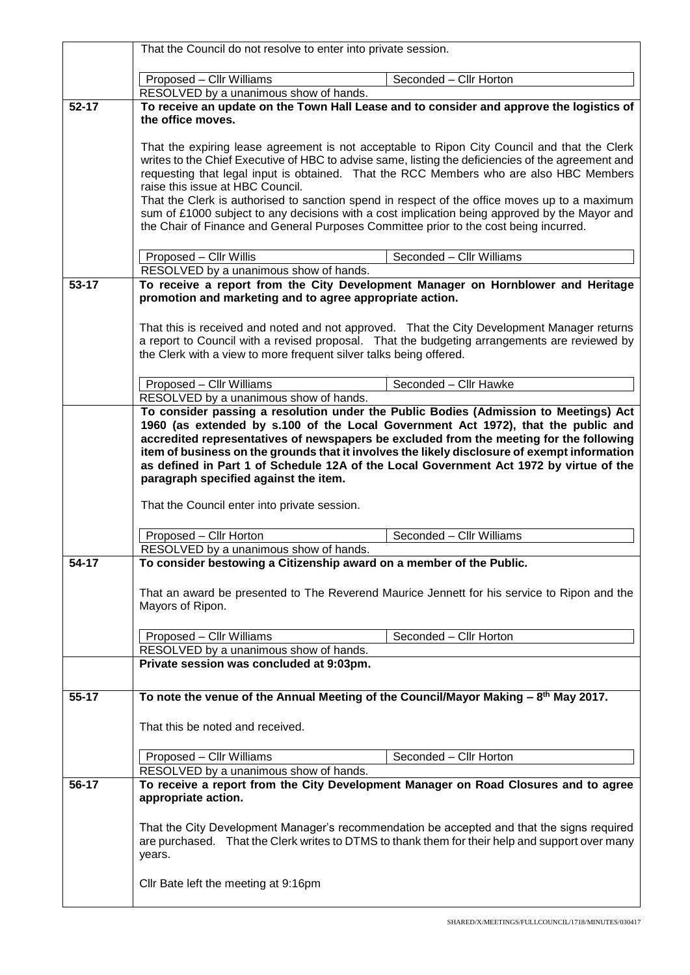|           | That the Council do not resolve to enter into private session.                                                                                                                                                                                                                                                                                                                                                                                                                                                                     |  |  |
|-----------|------------------------------------------------------------------------------------------------------------------------------------------------------------------------------------------------------------------------------------------------------------------------------------------------------------------------------------------------------------------------------------------------------------------------------------------------------------------------------------------------------------------------------------|--|--|
|           | Seconded - Cllr Horton<br>Proposed - Cllr Williams                                                                                                                                                                                                                                                                                                                                                                                                                                                                                 |  |  |
|           | RESOLVED by a unanimous show of hands.                                                                                                                                                                                                                                                                                                                                                                                                                                                                                             |  |  |
| $52 - 17$ | To receive an update on the Town Hall Lease and to consider and approve the logistics of<br>the office moves.                                                                                                                                                                                                                                                                                                                                                                                                                      |  |  |
|           | That the expiring lease agreement is not acceptable to Ripon City Council and that the Clerk<br>writes to the Chief Executive of HBC to advise same, listing the deficiencies of the agreement and<br>requesting that legal input is obtained. That the RCC Members who are also HBC Members<br>raise this issue at HBC Council.<br>That the Clerk is authorised to sanction spend in respect of the office moves up to a maximum<br>sum of £1000 subject to any decisions with a cost implication being approved by the Mayor and |  |  |
|           | the Chair of Finance and General Purposes Committee prior to the cost being incurred.                                                                                                                                                                                                                                                                                                                                                                                                                                              |  |  |
|           | Proposed - Cllr Willis<br>Seconded - Cllr Williams                                                                                                                                                                                                                                                                                                                                                                                                                                                                                 |  |  |
| $53 - 17$ | RESOLVED by a unanimous show of hands.<br>To receive a report from the City Development Manager on Hornblower and Heritage                                                                                                                                                                                                                                                                                                                                                                                                         |  |  |
|           | promotion and marketing and to agree appropriate action.                                                                                                                                                                                                                                                                                                                                                                                                                                                                           |  |  |
|           | That this is received and noted and not approved. That the City Development Manager returns                                                                                                                                                                                                                                                                                                                                                                                                                                        |  |  |
|           | a report to Council with a revised proposal. That the budgeting arrangements are reviewed by<br>the Clerk with a view to more frequent silver talks being offered.                                                                                                                                                                                                                                                                                                                                                                 |  |  |
|           | Proposed - Cllr Williams<br>Seconded - Cllr Hawke                                                                                                                                                                                                                                                                                                                                                                                                                                                                                  |  |  |
|           | RESOLVED by a unanimous show of hands.<br>To consider passing a resolution under the Public Bodies (Admission to Meetings) Act                                                                                                                                                                                                                                                                                                                                                                                                     |  |  |
|           | 1960 (as extended by s.100 of the Local Government Act 1972), that the public and<br>accredited representatives of newspapers be excluded from the meeting for the following<br>item of business on the grounds that it involves the likely disclosure of exempt information<br>as defined in Part 1 of Schedule 12A of the Local Government Act 1972 by virtue of the<br>paragraph specified against the item.<br>That the Council enter into private session.                                                                    |  |  |
|           | Proposed - Cllr Horton<br>Seconded - Cllr Williams                                                                                                                                                                                                                                                                                                                                                                                                                                                                                 |  |  |
|           | RESOLVED by a unanimous show of hands.                                                                                                                                                                                                                                                                                                                                                                                                                                                                                             |  |  |
| 54-17     | To consider bestowing a Citizenship award on a member of the Public.                                                                                                                                                                                                                                                                                                                                                                                                                                                               |  |  |
|           | That an award be presented to The Reverend Maurice Jennett for his service to Ripon and the<br>Mayors of Ripon.                                                                                                                                                                                                                                                                                                                                                                                                                    |  |  |
|           | Seconded - Cllr Horton<br>Proposed - Cllr Williams                                                                                                                                                                                                                                                                                                                                                                                                                                                                                 |  |  |
|           | RESOLVED by a unanimous show of hands.                                                                                                                                                                                                                                                                                                                                                                                                                                                                                             |  |  |
|           | Private session was concluded at 9:03pm.                                                                                                                                                                                                                                                                                                                                                                                                                                                                                           |  |  |
|           |                                                                                                                                                                                                                                                                                                                                                                                                                                                                                                                                    |  |  |
| 55-17     | To note the venue of the Annual Meeting of the Council/Mayor Making $-\frac{8^{th}}{10}$ May 2017.                                                                                                                                                                                                                                                                                                                                                                                                                                 |  |  |
|           | That this be noted and received.                                                                                                                                                                                                                                                                                                                                                                                                                                                                                                   |  |  |
|           | Proposed - Cllr Williams<br>Seconded - Cllr Horton                                                                                                                                                                                                                                                                                                                                                                                                                                                                                 |  |  |
|           | RESOLVED by a unanimous show of hands.                                                                                                                                                                                                                                                                                                                                                                                                                                                                                             |  |  |
| 56-17     | To receive a report from the City Development Manager on Road Closures and to agree<br>appropriate action.                                                                                                                                                                                                                                                                                                                                                                                                                         |  |  |
|           | That the City Development Manager's recommendation be accepted and that the signs required<br>are purchased. That the Clerk writes to DTMS to thank them for their help and support over many<br>years.                                                                                                                                                                                                                                                                                                                            |  |  |
|           | Cllr Bate left the meeting at 9:16pm                                                                                                                                                                                                                                                                                                                                                                                                                                                                                               |  |  |